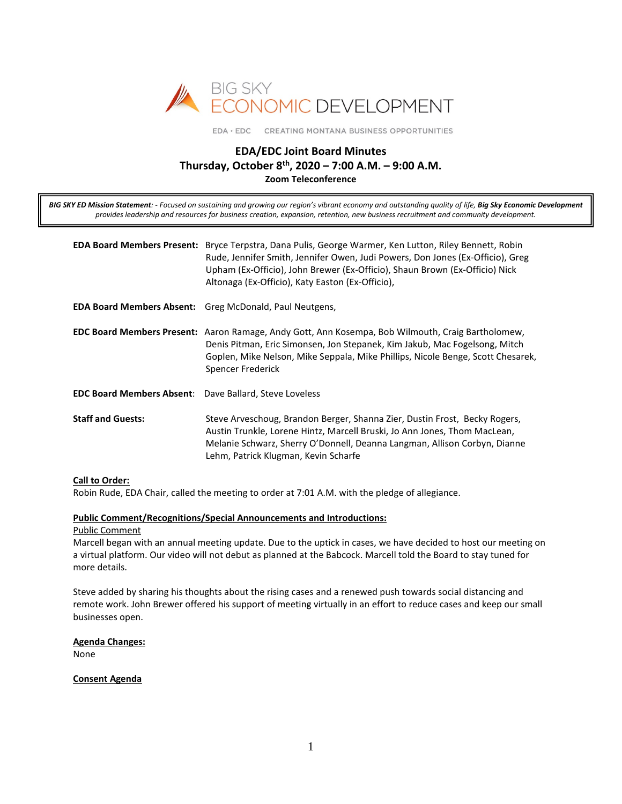

EDA · EDC CREATING MONTANA BUSINESS OPPORTUNITIES

# **EDA/EDC Joint Board Minutes Thursday, October 8th, 2020 – 7:00 A.M. – 9:00 A.M. Zoom Teleconference**

*BIG SKY ED Mission Statement: - Focused on sustaining and growing our region's vibrant economy and outstanding quality of life, Big Sky Economic Development provides leadership and resources for business creation, expansion, retention, new business recruitment and community development.*

|                                                               | <b>EDA Board Members Present:</b> Bryce Terpstra, Dana Pulis, George Warmer, Ken Lutton, Riley Bennett, Robin<br>Rude, Jennifer Smith, Jennifer Owen, Judi Powers, Don Jones (Ex-Officio), Greg<br>Upham (Ex-Officio), John Brewer (Ex-Officio), Shaun Brown (Ex-Officio) Nick<br>Altonaga (Ex-Officio), Katy Easton (Ex-Officio), |
|---------------------------------------------------------------|------------------------------------------------------------------------------------------------------------------------------------------------------------------------------------------------------------------------------------------------------------------------------------------------------------------------------------|
|                                                               | <b>EDA Board Members Absent:</b> Greg McDonald, Paul Neutgens,                                                                                                                                                                                                                                                                     |
|                                                               | <b>EDC Board Members Present:</b> Aaron Ramage, Andy Gott, Ann Kosempa, Bob Wilmouth, Craig Bartholomew,<br>Denis Pitman, Eric Simonsen, Jon Stepanek, Kim Jakub, Mac Fogelsong, Mitch<br>Goplen, Mike Nelson, Mike Seppala, Mike Phillips, Nicole Benge, Scott Chesarek,<br>Spencer Frederick                                     |
| <b>EDC Board Members Absent:</b> Dave Ballard, Steve Loveless |                                                                                                                                                                                                                                                                                                                                    |
| <b>Staff and Guests:</b>                                      | Steve Arveschoug, Brandon Berger, Shanna Zier, Dustin Frost, Becky Rogers,<br>Austin Trunkle, Lorene Hintz, Marcell Bruski, Jo Ann Jones, Thom MacLean,<br>Melanie Schwarz, Sherry O'Donnell, Deanna Langman, Allison Corbyn, Dianne<br>Lehm, Patrick Klugman, Kevin Scharfe                                                       |

## **Call to Order:**

Robin Rude, EDA Chair, called the meeting to order at 7:01 A.M. with the pledge of allegiance.

#### **Public Comment/Recognitions/Special Announcements and Introductions:**

#### Public Comment

Marcell began with an annual meeting update. Due to the uptick in cases, we have decided to host our meeting on a virtual platform. Our video will not debut as planned at the Babcock. Marcell told the Board to stay tuned for more details.

Steve added by sharing his thoughts about the rising cases and a renewed push towards social distancing and remote work. John Brewer offered his support of meeting virtually in an effort to reduce cases and keep our small businesses open.

#### **Agenda Changes:**

None

#### **Consent Agenda**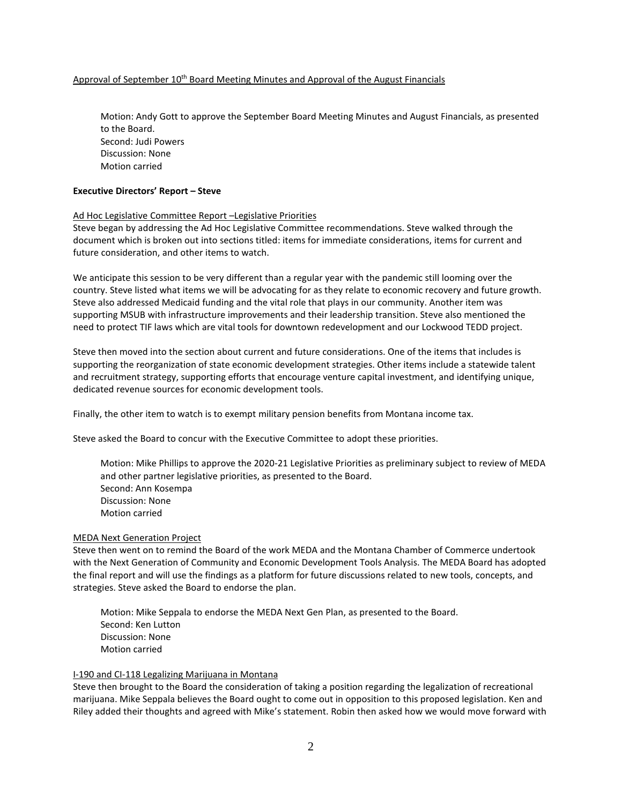### Approval of September 10<sup>th</sup> Board Meeting Minutes and Approval of the August Financials

Motion: Andy Gott to approve the September Board Meeting Minutes and August Financials, as presented to the Board. Second: Judi Powers Discussion: None Motion carried

### **Executive Directors' Report – Steve**

#### Ad Hoc Legislative Committee Report –Legislative Priorities

Steve began by addressing the Ad Hoc Legislative Committee recommendations. Steve walked through the document which is broken out into sections titled: items for immediate considerations, items for current and future consideration, and other items to watch.

We anticipate this session to be very different than a regular year with the pandemic still looming over the country. Steve listed what items we will be advocating for as they relate to economic recovery and future growth. Steve also addressed Medicaid funding and the vital role that plays in our community. Another item was supporting MSUB with infrastructure improvements and their leadership transition. Steve also mentioned the need to protect TIF laws which are vital tools for downtown redevelopment and our Lockwood TEDD project.

Steve then moved into the section about current and future considerations. One of the items that includes is supporting the reorganization of state economic development strategies. Other items include a statewide talent and recruitment strategy, supporting efforts that encourage venture capital investment, and identifying unique, dedicated revenue sources for economic development tools.

Finally, the other item to watch is to exempt military pension benefits from Montana income tax.

Steve asked the Board to concur with the Executive Committee to adopt these priorities.

Motion: Mike Phillips to approve the 2020-21 Legislative Priorities as preliminary subject to review of MEDA and other partner legislative priorities, as presented to the Board. Second: Ann Kosempa Discussion: None Motion carried

#### MEDA Next Generation Project

Steve then went on to remind the Board of the work MEDA and the Montana Chamber of Commerce undertook with the Next Generation of Community and Economic Development Tools Analysis. The MEDA Board has adopted the final report and will use the findings as a platform for future discussions related to new tools, concepts, and strategies. Steve asked the Board to endorse the plan.

Motion: Mike Seppala to endorse the MEDA Next Gen Plan, as presented to the Board. Second: Ken Lutton Discussion: None Motion carried

#### I-190 and CI-118 Legalizing Marijuana in Montana

Steve then brought to the Board the consideration of taking a position regarding the legalization of recreational marijuana. Mike Seppala believes the Board ought to come out in opposition to this proposed legislation. Ken and Riley added their thoughts and agreed with Mike's statement. Robin then asked how we would move forward with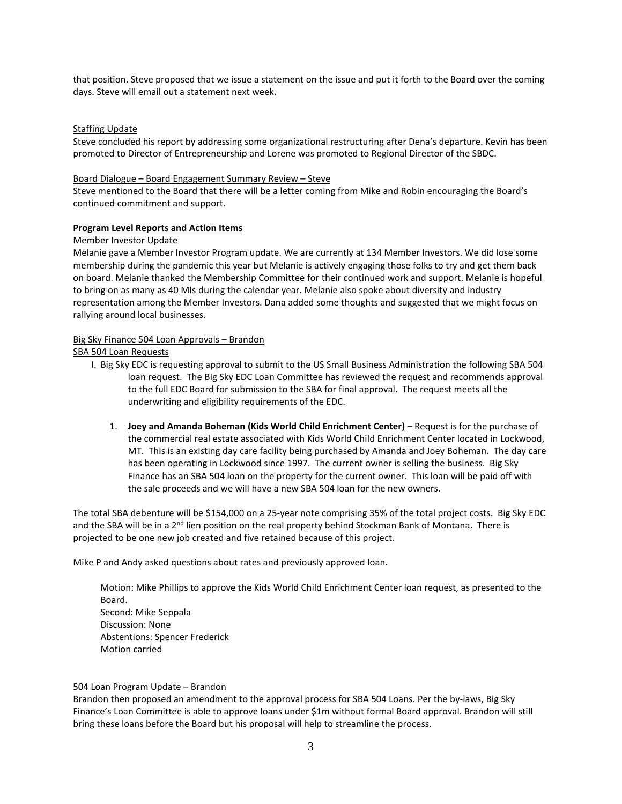that position. Steve proposed that we issue a statement on the issue and put it forth to the Board over the coming days. Steve will email out a statement next week.

## **Staffing Update**

Steve concluded his report by addressing some organizational restructuring after Dena's departure. Kevin has been promoted to Director of Entrepreneurship and Lorene was promoted to Regional Director of the SBDC.

#### Board Dialogue – Board Engagement Summary Review – Steve

Steve mentioned to the Board that there will be a letter coming from Mike and Robin encouraging the Board's continued commitment and support.

#### **Program Level Reports and Action Items**

#### Member Investor Update

Melanie gave a Member Investor Program update. We are currently at 134 Member Investors. We did lose some membership during the pandemic this year but Melanie is actively engaging those folks to try and get them back on board. Melanie thanked the Membership Committee for their continued work and support. Melanie is hopeful to bring on as many as 40 MIs during the calendar year. Melanie also spoke about diversity and industry representation among the Member Investors. Dana added some thoughts and suggested that we might focus on rallying around local businesses.

## Big Sky Finance 504 Loan Approvals – Brandon

SBA 504 Loan Requests

- I. Big Sky EDC is requesting approval to submit to the US Small Business Administration the following SBA 504 loan request. The Big Sky EDC Loan Committee has reviewed the request and recommends approval to the full EDC Board for submission to the SBA for final approval. The request meets all the underwriting and eligibility requirements of the EDC.
	- 1. **Joey and Amanda Boheman (Kids World Child Enrichment Center)** Request is for the purchase of the commercial real estate associated with Kids World Child Enrichment Center located in Lockwood, MT. This is an existing day care facility being purchased by Amanda and Joey Boheman. The day care has been operating in Lockwood since 1997. The current owner is selling the business. Big Sky Finance has an SBA 504 loan on the property for the current owner. This loan will be paid off with the sale proceeds and we will have a new SBA 504 loan for the new owners.

The total SBA debenture will be \$154,000 on a 25-year note comprising 35% of the total project costs. Big Sky EDC and the SBA will be in a 2<sup>nd</sup> lien position on the real property behind Stockman Bank of Montana. There is projected to be one new job created and five retained because of this project.

Mike P and Andy asked questions about rates and previously approved loan.

Motion: Mike Phillips to approve the Kids World Child Enrichment Center loan request, as presented to the Board. Second: Mike Seppala Discussion: None Abstentions: Spencer Frederick Motion carried

#### 504 Loan Program Update – Brandon

Brandon then proposed an amendment to the approval process for SBA 504 Loans. Per the by-laws, Big Sky Finance's Loan Committee is able to approve loans under \$1m without formal Board approval. Brandon will still bring these loans before the Board but his proposal will help to streamline the process.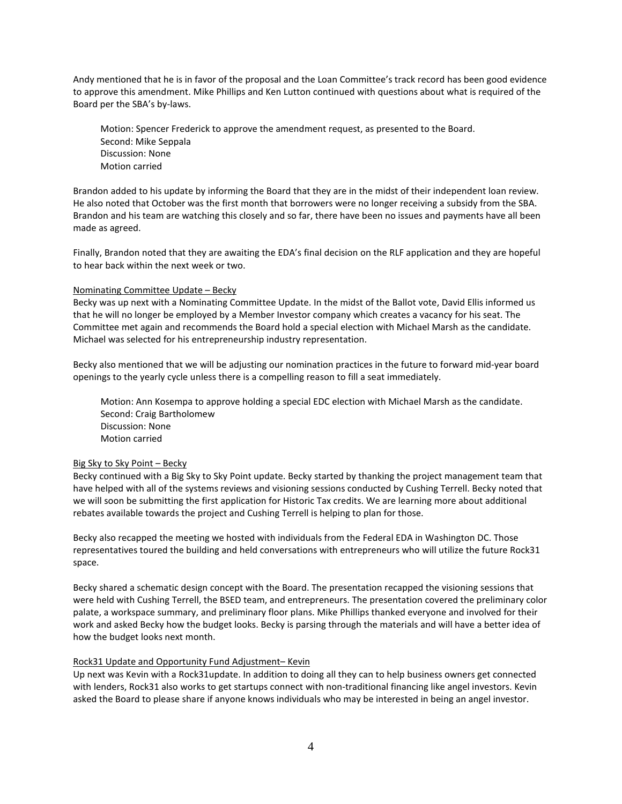Andy mentioned that he is in favor of the proposal and the Loan Committee's track record has been good evidence to approve this amendment. Mike Phillips and Ken Lutton continued with questions about what is required of the Board per the SBA's by-laws.

Motion: Spencer Frederick to approve the amendment request, as presented to the Board. Second: Mike Seppala Discussion: None Motion carried

Brandon added to his update by informing the Board that they are in the midst of their independent loan review. He also noted that October was the first month that borrowers were no longer receiving a subsidy from the SBA. Brandon and his team are watching this closely and so far, there have been no issues and payments have all been made as agreed.

Finally, Brandon noted that they are awaiting the EDA's final decision on the RLF application and they are hopeful to hear back within the next week or two.

#### Nominating Committee Update – Becky

Becky was up next with a Nominating Committee Update. In the midst of the Ballot vote, David Ellis informed us that he will no longer be employed by a Member Investor company which creates a vacancy for his seat. The Committee met again and recommends the Board hold a special election with Michael Marsh as the candidate. Michael was selected for his entrepreneurship industry representation.

Becky also mentioned that we will be adjusting our nomination practices in the future to forward mid-year board openings to the yearly cycle unless there is a compelling reason to fill a seat immediately.

Motion: Ann Kosempa to approve holding a special EDC election with Michael Marsh as the candidate. Second: Craig Bartholomew Discussion: None Motion carried

#### Big Sky to Sky Point – Becky

Becky continued with a Big Sky to Sky Point update. Becky started by thanking the project management team that have helped with all of the systems reviews and visioning sessions conducted by Cushing Terrell. Becky noted that we will soon be submitting the first application for Historic Tax credits. We are learning more about additional rebates available towards the project and Cushing Terrell is helping to plan for those.

Becky also recapped the meeting we hosted with individuals from the Federal EDA in Washington DC. Those representatives toured the building and held conversations with entrepreneurs who will utilize the future Rock31 space.

Becky shared a schematic design concept with the Board. The presentation recapped the visioning sessions that were held with Cushing Terrell, the BSED team, and entrepreneurs. The presentation covered the preliminary color palate, a workspace summary, and preliminary floor plans. Mike Phillips thanked everyone and involved for their work and asked Becky how the budget looks. Becky is parsing through the materials and will have a better idea of how the budget looks next month.

#### Rock31 Update and Opportunity Fund Adjustment– Kevin

Up next was Kevin with a Rock31update. In addition to doing all they can to help business owners get connected with lenders, Rock31 also works to get startups connect with non-traditional financing like angel investors. Kevin asked the Board to please share if anyone knows individuals who may be interested in being an angel investor.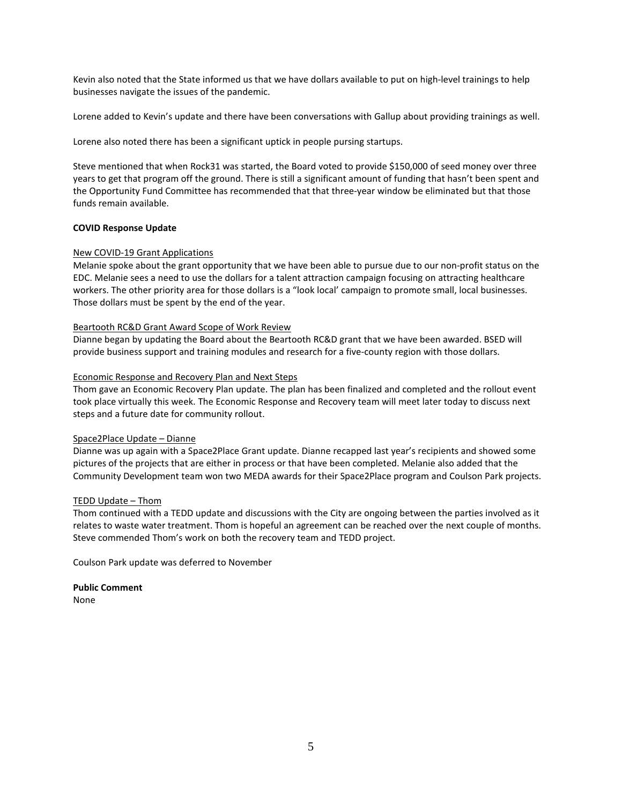Kevin also noted that the State informed us that we have dollars available to put on high-level trainings to help businesses navigate the issues of the pandemic.

Lorene added to Kevin's update and there have been conversations with Gallup about providing trainings as well.

Lorene also noted there has been a significant uptick in people pursing startups.

Steve mentioned that when Rock31 was started, the Board voted to provide \$150,000 of seed money over three years to get that program off the ground. There is still a significant amount of funding that hasn't been spent and the Opportunity Fund Committee has recommended that that three-year window be eliminated but that those funds remain available.

## **COVID Response Update**

## New COVID-19 Grant Applications

Melanie spoke about the grant opportunity that we have been able to pursue due to our non-profit status on the EDC. Melanie sees a need to use the dollars for a talent attraction campaign focusing on attracting healthcare workers. The other priority area for those dollars is a "look local' campaign to promote small, local businesses. Those dollars must be spent by the end of the year.

## Beartooth RC&D Grant Award Scope of Work Review

Dianne began by updating the Board about the Beartooth RC&D grant that we have been awarded. BSED will provide business support and training modules and research for a five-county region with those dollars.

#### Economic Response and Recovery Plan and Next Steps

Thom gave an Economic Recovery Plan update. The plan has been finalized and completed and the rollout event took place virtually this week. The Economic Response and Recovery team will meet later today to discuss next steps and a future date for community rollout.

#### Space2Place Update – Dianne

Dianne was up again with a Space2Place Grant update. Dianne recapped last year's recipients and showed some pictures of the projects that are either in process or that have been completed. Melanie also added that the Community Development team won two MEDA awards for their Space2Place program and Coulson Park projects.

#### TEDD Update – Thom

Thom continued with a TEDD update and discussions with the City are ongoing between the parties involved as it relates to waste water treatment. Thom is hopeful an agreement can be reached over the next couple of months. Steve commended Thom's work on both the recovery team and TEDD project.

Coulson Park update was deferred to November

**Public Comment** None